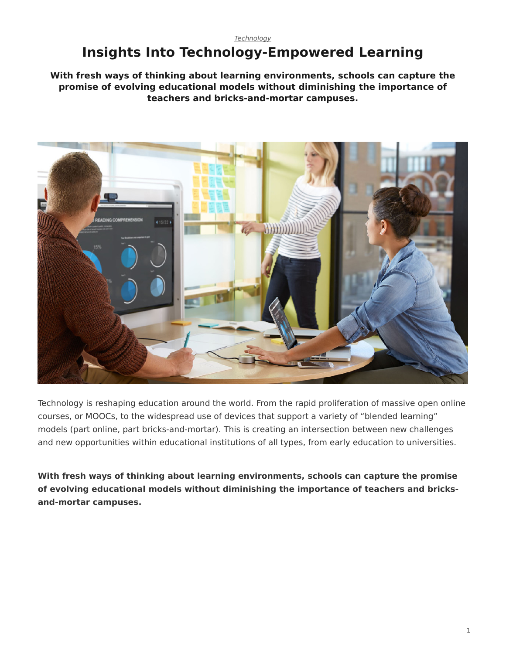# <span id="page-0-0"></span>**Insights Into Technology-Empowered Learning**

**With fresh ways of thinking about learning environments, schools can capture the promise of evolving educational models without diminishing the importance of teachers and bricks-and-mortar campuses.**



Technology is reshaping education around the world. From the rapid proliferation of massive open online courses, or MOOCs, to the widespread use of devices that support a variety of "blended learning" models (part online, part bricks-and-mortar). This is creating an intersection between new challenges and new opportunities within educational institutions of all types, from early education to universities.

**With fresh ways of thinking about learning environments, schools can capture the promise of evolving educational models without diminishing the importance of teachers and bricksand-mortar campuses.**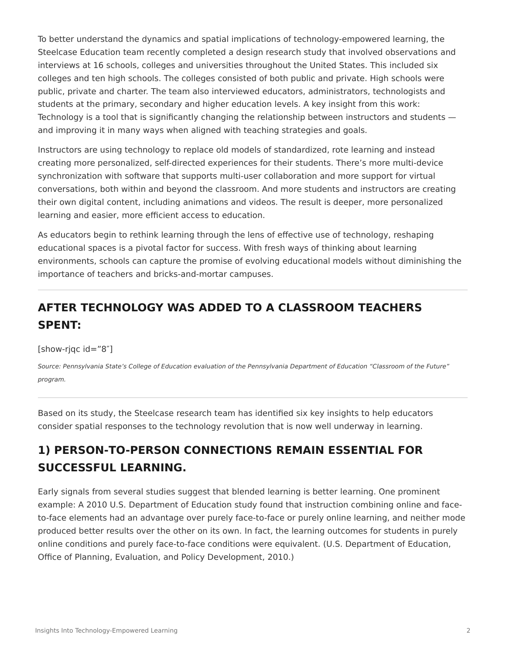To better understand the dynamics and spatial implications of technology-empowered learning, the Steelcase Education team recently completed a design research study that involved observations and interviews at 16 schools, colleges and universities throughout the United States. This included six colleges and ten high schools. The colleges consisted of both public and private. High schools were public, private and charter. The team also interviewed educators, administrators, technologists and students at the primary, secondary and higher education levels. A key insight from this work: Technology is a tool that is significantly changing the relationship between instructors and students and improving it in many ways when aligned with teaching strategies and goals.

Instructors are using technology to replace old models of standardized, rote learning and instead creating more personalized, self-directed experiences for their students. There's more multi-device synchronization with software that supports multi-user collaboration and more support for virtual conversations, both within and beyond the classroom. And more students and instructors are creating their own digital content, including animations and videos. The result is deeper, more personalized learning and easier, more efficient access to education.

As educators begin to rethink learning through the lens of effective use of technology, reshaping educational spaces is a pivotal factor for success. With fresh ways of thinking about learning environments, schools can capture the promise of evolving educational models without diminishing the importance of teachers and bricks-and-mortar campuses.

## **AFTER TECHNOLOGY WAS ADDED TO A CLASSROOM TEACHERS SPENT:**

[show-rjqc id="8″]

*Source: Pennsylvania State's College of Education evaluation of the Pennsylvania Department of Education "Classroom of the Future" program.*

Based on its study, the Steelcase research team has identified six key insights to help educators consider spatial responses to the technology revolution that is now well underway in learning.

## **1) PERSON-TO-PERSON CONNECTIONS REMAIN ESSENTIAL FOR SUCCESSFUL LEARNING.**

Early signals from several studies suggest that blended learning is better learning. One prominent example: A 2010 U.S. Department of Education study found that instruction combining online and faceto-face elements had an advantage over purely face-to-face or purely online learning, and neither mode produced better results over the other on its own. In fact, the learning outcomes for students in purely online conditions and purely face-to-face conditions were equivalent. (U.S. Department of Education, Office of Planning, Evaluation, and Policy Development, 2010.)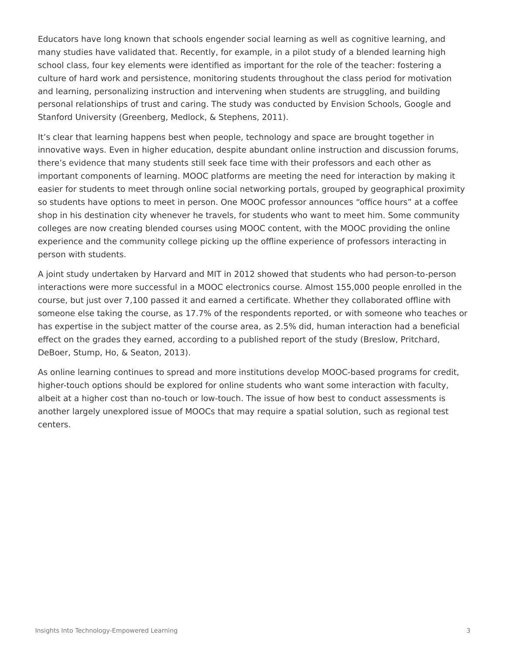Educators have long known that schools engender social learning as well as cognitive learning, and many studies have validated that. Recently, for example, in a pilot study of a blended learning high school class, four key elements were identified as important for the role of the teacher: fostering a culture of hard work and persistence, monitoring students throughout the class period for motivation and learning, personalizing instruction and intervening when students are struggling, and building personal relationships of trust and caring. The study was conducted by Envision Schools, Google and Stanford University (Greenberg, Medlock, & Stephens, 2011).

It's clear that learning happens best when people, technology and space are brought together in innovative ways. Even in higher education, despite abundant online instruction and discussion forums, there's evidence that many students still seek face time with their professors and each other as important components of learning. MOOC platforms are meeting the need for interaction by making it easier for students to meet through online social networking portals, grouped by geographical proximity so students have options to meet in person. One MOOC professor announces "office hours" at a coffee shop in his destination city whenever he travels, for students who want to meet him. Some community colleges are now creating blended courses using MOOC content, with the MOOC providing the online experience and the community college picking up the offline experience of professors interacting in person with students.

A joint study undertaken by Harvard and MIT in 2012 showed that students who had person-to-person interactions were more successful in a MOOC electronics course. Almost 155,000 people enrolled in the course, but just over 7,100 passed it and earned a certificate. Whether they collaborated offline with someone else taking the course, as 17.7% of the respondents reported, or with someone who teaches or has expertise in the subject matter of the course area, as 2.5% did, human interaction had a beneficial effect on the grades they earned, according to a published report of the study (Breslow, Pritchard, DeBoer, Stump, Ho, & Seaton, 2013).

As online learning continues to spread and more institutions develop MOOC-based programs for credit, higher-touch options should be explored for online students who want some interaction with faculty, albeit at a higher cost than no-touch or low-touch. The issue of how best to conduct assessments is another largely unexplored issue of MOOCs that may require a spatial solution, such as regional test centers.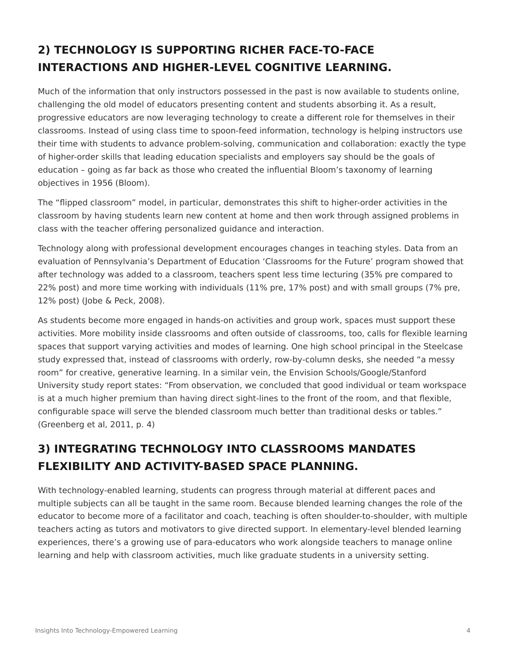# **2) TECHNOLOGY IS SUPPORTING RICHER FACE-TO-FACE INTERACTIONS AND HIGHER-LEVEL COGNITIVE LEARNING.**

Much of the information that only instructors possessed in the past is now available to students online, challenging the old model of educators presenting content and students absorbing it. As a result, progressive educators are now leveraging technology to create a different role for themselves in their classrooms. Instead of using class time to spoon-feed information, technology is helping instructors use their time with students to advance problem-solving, communication and collaboration: exactly the type of higher-order skills that leading education specialists and employers say should be the goals of education – going as far back as those who created the influential Bloom's taxonomy of learning objectives in 1956 (Bloom).

The "flipped classroom" model, in particular, demonstrates this shift to higher-order activities in the classroom by having students learn new content at home and then work through assigned problems in class with the teacher offering personalized guidance and interaction.

Technology along with professional development encourages changes in teaching styles. Data from an evaluation of Pennsylvania's Department of Education 'Classrooms for the Future' program showed that after technology was added to a classroom, teachers spent less time lecturing (35% pre compared to 22% post) and more time working with individuals (11% pre, 17% post) and with small groups (7% pre, 12% post) (Jobe & Peck, 2008).

As students become more engaged in hands-on activities and group work, spaces must support these activities. More mobility inside classrooms and often outside of classrooms, too, calls for flexible learning spaces that support varying activities and modes of learning. One high school principal in the Steelcase study expressed that, instead of classrooms with orderly, row-by-column desks, she needed "a messy room" for creative, generative learning. In a similar vein, the Envision Schools/Google/Stanford University study report states: "From observation, we concluded that good individual or team workspace is at a much higher premium than having direct sight-lines to the front of the room, and that flexible, configurable space will serve the blended classroom much better than traditional desks or tables." (Greenberg et al, 2011, p. 4)

## **3) INTEGRATING TECHNOLOGY INTO CLASSROOMS MANDATES FLEXIBILITY AND ACTIVITY-BASED SPACE PLANNING.**

With technology-enabled learning, students can progress through material at different paces and multiple subjects can all be taught in the same room. Because blended learning changes the role of the educator to become more of a facilitator and coach, teaching is often shoulder-to-shoulder, with multiple teachers acting as tutors and motivators to give directed support. In elementary-level blended learning experiences, there's a growing use of para-educators who work alongside teachers to manage online learning and help with classroom activities, much like graduate students in a university setting.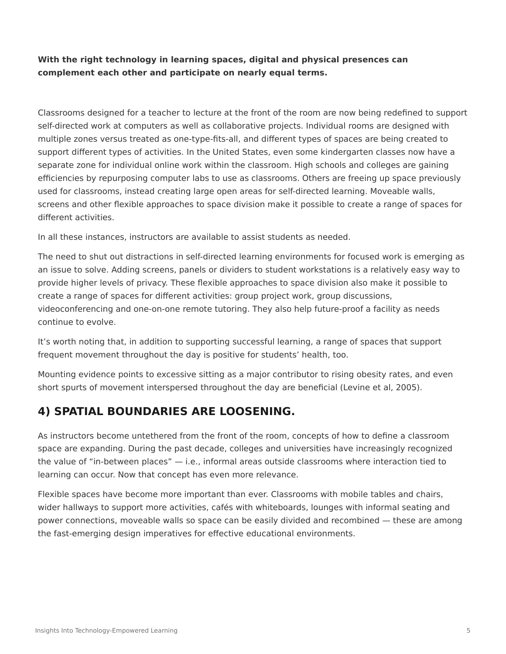#### **With the right technology in learning spaces, digital and physical presences can complement each other and participate on nearly equal terms.**

Classrooms designed for a teacher to lecture at the front of the room are now being redefined to support self-directed work at computers as well as collaborative projects. Individual rooms are designed with multiple zones versus treated as one-type-fits-all, and different types of spaces are being created to support different types of activities. In the United States, even some kindergarten classes now have a separate zone for individual online work within the classroom. High schools and colleges are gaining efficiencies by repurposing computer labs to use as classrooms. Others are freeing up space previously used for classrooms, instead creating large open areas for self-directed learning. Moveable walls, screens and other flexible approaches to space division make it possible to create a range of spaces for different activities.

In all these instances, instructors are available to assist students as needed.

The need to shut out distractions in self-directed learning environments for focused work is emerging as an issue to solve. Adding screens, panels or dividers to student workstations is a relatively easy way to provide higher levels of privacy. These flexible approaches to space division also make it possible to create a range of spaces for different activities: group project work, group discussions, videoconferencing and one-on-one remote tutoring. They also help future-proof a facility as needs continue to evolve.

It's worth noting that, in addition to supporting successful learning, a range of spaces that support frequent movement throughout the day is positive for students' health, too.

Mounting evidence points to excessive sitting as a major contributor to rising obesity rates, and even short spurts of movement interspersed throughout the day are beneficial (Levine et al, 2005).

#### **4) SPATIAL BOUNDARIES ARE LOOSENING.**

As instructors become untethered from the front of the room, concepts of how to define a classroom space are expanding. During the past decade, colleges and universities have increasingly recognized the value of "in-between places" — i.e., informal areas outside classrooms where interaction tied to learning can occur. Now that concept has even more relevance.

Flexible spaces have become more important than ever. Classrooms with mobile tables and chairs, wider hallways to support more activities, cafés with whiteboards, lounges with informal seating and power connections, moveable walls so space can be easily divided and recombined — these are among the fast-emerging design imperatives for effective educational environments.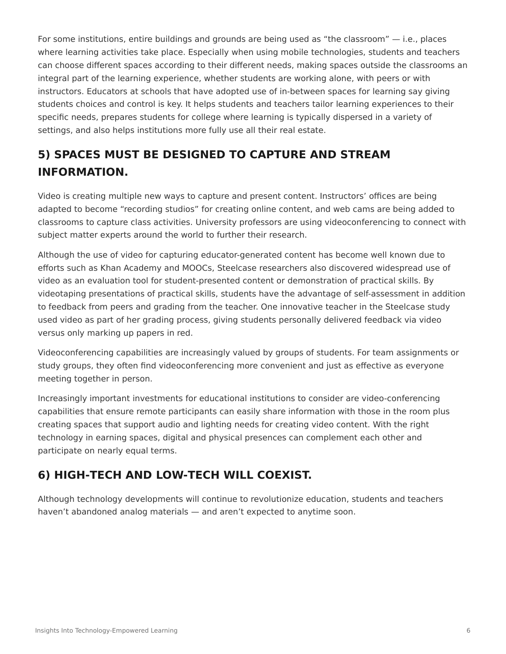For some institutions, entire buildings and grounds are being used as "the classroom" — i.e., places where learning activities take place. Especially when using mobile technologies, students and teachers can choose different spaces according to their different needs, making spaces outside the classrooms an integral part of the learning experience, whether students are working alone, with peers or with instructors. Educators at schools that have adopted use of in-between spaces for learning say giving students choices and control is key. It helps students and teachers tailor learning experiences to their specific needs, prepares students for college where learning is typically dispersed in a variety of settings, and also helps institutions more fully use all their real estate.

## **5) SPACES MUST BE DESIGNED TO CAPTURE AND STREAM INFORMATION.**

Video is creating multiple new ways to capture and present content. Instructors' offices are being adapted to become "recording studios" for creating online content, and web cams are being added to classrooms to capture class activities. University professors are using videoconferencing to connect with subject matter experts around the world to further their research.

Although the use of video for capturing educator-generated content has become well known due to efforts such as Khan Academy and MOOCs, Steelcase researchers also discovered widespread use of video as an evaluation tool for student-presented content or demonstration of practical skills. By videotaping presentations of practical skills, students have the advantage of self-assessment in addition to feedback from peers and grading from the teacher. One innovative teacher in the Steelcase study used video as part of her grading process, giving students personally delivered feedback via video versus only marking up papers in red.

Videoconferencing capabilities are increasingly valued by groups of students. For team assignments or study groups, they often find videoconferencing more convenient and just as effective as everyone meeting together in person.

Increasingly important investments for educational institutions to consider are video-conferencing capabilities that ensure remote participants can easily share information with those in the room plus creating spaces that support audio and lighting needs for creating video content. With the right technology in earning spaces, digital and physical presences can complement each other and participate on nearly equal terms.

### **6) HIGH-TECH AND LOW-TECH WILL COEXIST.**

Although technology developments will continue to revolutionize education, students and teachers haven't abandoned analog materials — and aren't expected to anytime soon.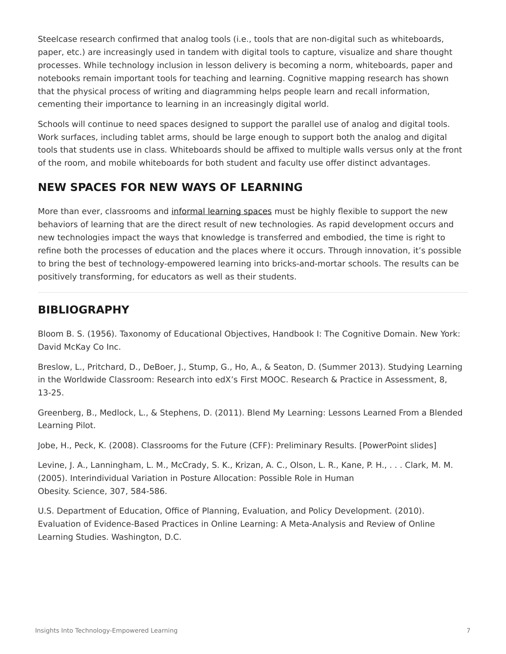Steelcase research confirmed that analog tools (i.e., tools that are non-digital such as whiteboards, paper, etc.) are increasingly used in tandem with digital tools to capture, visualize and share thought processes. While technology inclusion in lesson delivery is becoming a norm, whiteboards, paper and notebooks remain important tools for teaching and learning. Cognitive mapping research has shown that the physical process of writing and diagramming helps people learn and recall information, cementing their importance to learning in an increasingly digital world.

Schools will continue to need spaces designed to support the parallel use of analog and digital tools. Work surfaces, including tablet arms, should be large enough to support both the analog and digital tools that students use in class. Whiteboards should be affixed to multiple walls versus only at the front of the room, and mobile whiteboards for both student and faculty use offer distinct advantages.

## **NEW SPACES FOR NEW WAYS OF LEARNING**

More than ever, classrooms and [informal learning spaces](https://www.steelcase.com/spaces-inspiration/active-learning-spaces-in-between-spaces/) must be highly flexible to support the new behaviors of learning that are the direct result of new technologies. As rapid development occurs and new technologies impact the ways that knowledge is transferred and embodied, the time is right to refine both the processes of education and the places where it occurs. Through innovation, it's possible to bring the best of technology-empowered learning into bricks-and-mortar schools. The results can be positively transforming, for educators as well as their students.

#### **BIBLIOGRAPHY**

Bloom B. S. (1956). Taxonomy of Educational Objectives, Handbook I: The Cognitive Domain. New York: David McKay Co Inc.

Breslow, L., Pritchard, D., DeBoer, J., Stump, G., Ho, A., & Seaton, D. (Summer 2013). Studying Learning in the Worldwide Classroom: Research into edX's First MOOC. Research & Practice in Assessment, 8, 13-25.

Greenberg, B., Medlock, L., & Stephens, D. (2011). Blend My Learning: Lessons Learned From a Blended Learning Pilot.

Jobe, H., Peck, K. (2008). Classrooms for the Future (CFF): Preliminary Results. [PowerPoint slides]

Levine, J. A., Lanningham, L. M., McCrady, S. K., Krizan, A. C., Olson, L. R., Kane, P. H., . . . Clark, M. M. (2005). Interindividual Variation in Posture Allocation: Possible Role in Human Obesity. Science, 307, 584-586.

U.S. Department of Education, Office of Planning, Evaluation, and Policy Development. (2010). Evaluation of Evidence-Based Practices in Online Learning: A Meta-Analysis and Review of Online Learning Studies. Washington, D.C.